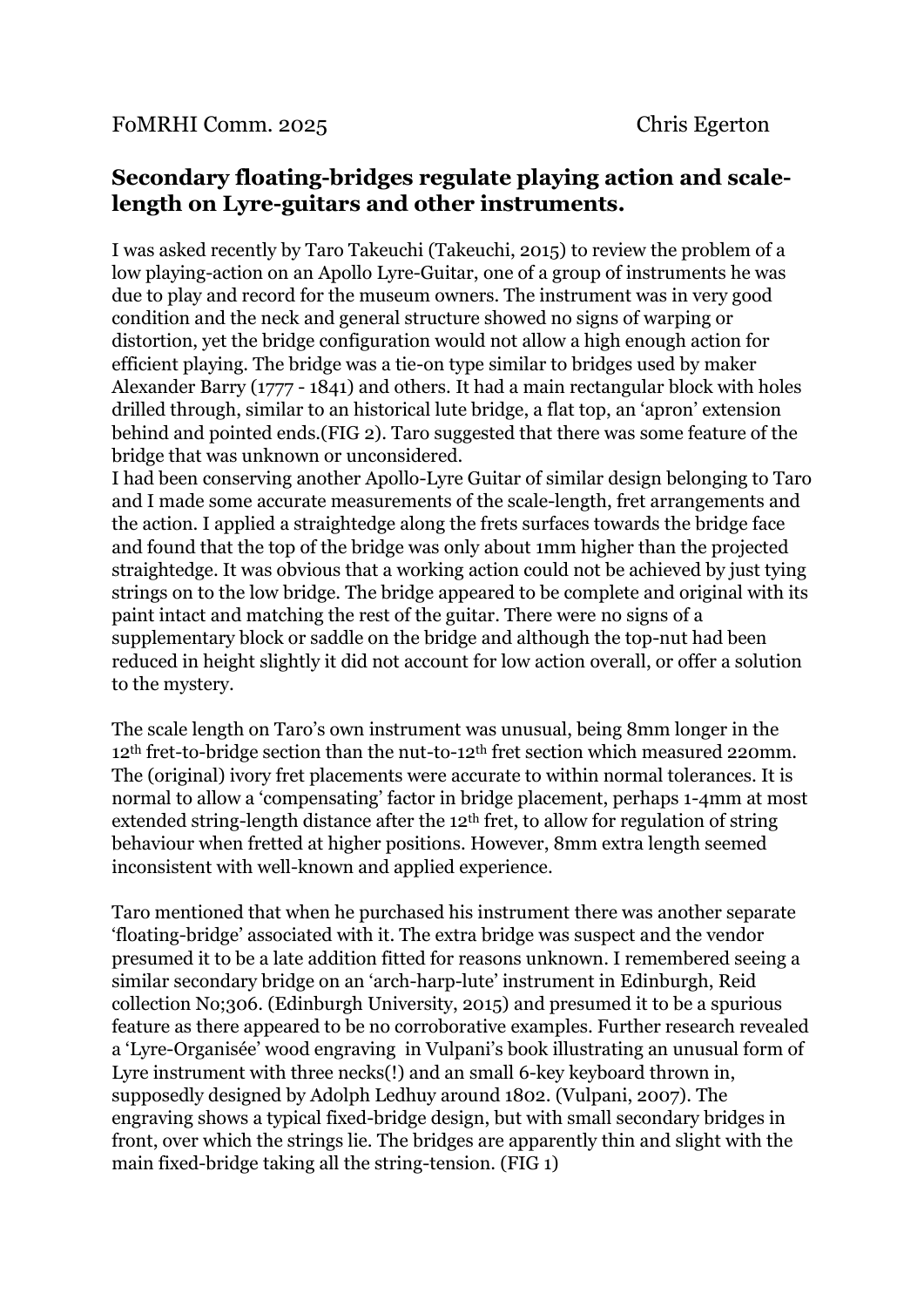## **Secondary floating-bridges regulate playing action and scalelength on Lyre-guitars and other instruments.**

I was asked recently by Taro Takeuchi (Takeuchi, 2015) to review the problem of a low playing-action on an Apollo Lyre-Guitar, one of a group of instruments he was due to play and record for the museum owners. The instrument was in very good condition and the neck and general structure showed no signs of warping or distortion, yet the bridge configuration would not allow a high enough action for efficient playing. The bridge was a tie-on type similar to bridges used by maker Alexander Barry (1777 - 1841) and others. It had a main rectangular block with holes drilled through, similar to an historical lute bridge, a flat top, an 'apron' extension behind and pointed ends.(FIG 2). Taro suggested that there was some feature of the bridge that was unknown or unconsidered.

I had been conserving another Apollo-Lyre Guitar of similar design belonging to Taro and I made some accurate measurements of the scale-length, fret arrangements and the action. I applied a straightedge along the frets surfaces towards the bridge face and found that the top of the bridge was only about 1mm higher than the projected straightedge. It was obvious that a working action could not be achieved by just tying strings on to the low bridge. The bridge appeared to be complete and original with its paint intact and matching the rest of the guitar. There were no signs of a supplementary block or saddle on the bridge and although the top-nut had been reduced in height slightly it did not account for low action overall, or offer a solution to the mystery.

The scale length on Taro's own instrument was unusual, being 8mm longer in the 12th fret-to-bridge section than the nut-to-12th fret section which measured 220mm. The (original) ivory fret placements were accurate to within normal tolerances. It is normal to allow a 'compensating' factor in bridge placement, perhaps 1-4mm at most extended string-length distance after the 12<sup>th</sup> fret, to allow for regulation of string behaviour when fretted at higher positions. However, 8mm extra length seemed inconsistent with well-known and applied experience.

Taro mentioned that when he purchased his instrument there was another separate 'floating-bridge' associated with it. The extra bridge was suspect and the vendor presumed it to be a late addition fitted for reasons unknown. I remembered seeing a similar secondary bridge on an 'arch-harp-lute' instrument in Edinburgh, Reid collection No;306. (Edinburgh University, 2015) and presumed it to be a spurious feature as there appeared to be no corroborative examples. Further research revealed a 'Lyre-Organisée' wood engraving in Vulpani's book illustrating an unusual form of Lyre instrument with three necks(!) and an small 6-key keyboard thrown in, supposedly designed by Adolph Ledhuy around 1802. (Vulpani, 2007). The engraving shows a typical fixed-bridge design, but with small secondary bridges in front, over which the strings lie. The bridges are apparently thin and slight with the main fixed-bridge taking all the string-tension. (FIG 1)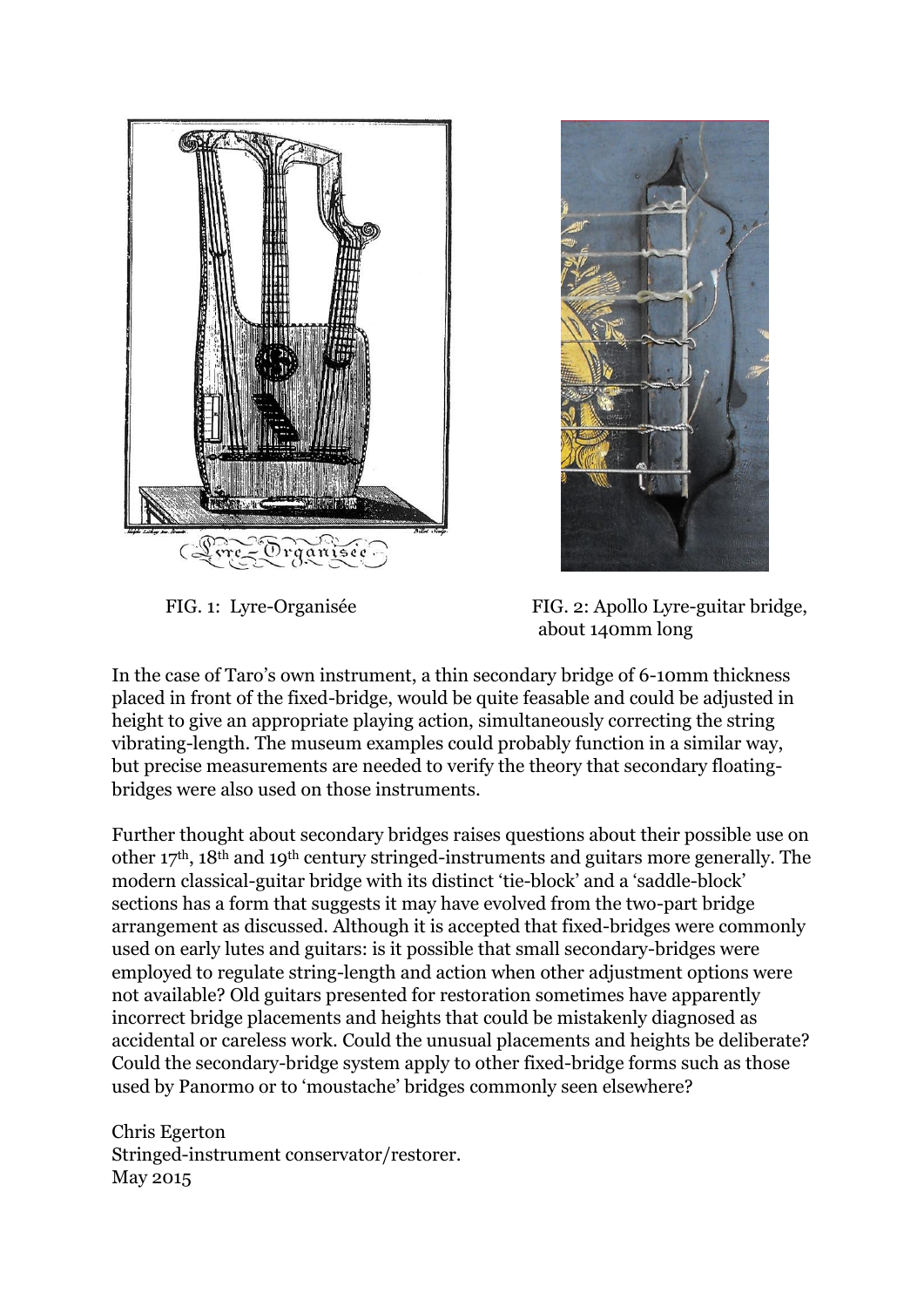



 FIG. 1: Lyre-Organisée FIG. 2: Apollo Lyre-guitar bridge, about 140mm long

In the case of Taro's own instrument, a thin secondary bridge of 6-10mm thickness placed in front of the fixed-bridge, would be quite feasable and could be adjusted in height to give an appropriate playing action, simultaneously correcting the string vibrating-length. The museum examples could probably function in a similar way, but precise measurements are needed to verify the theory that secondary floatingbridges were also used on those instruments.

Further thought about secondary bridges raises questions about their possible use on other 17th, 18th and 19th century stringed-instruments and guitars more generally. The modern classical-guitar bridge with its distinct 'tie-block' and a 'saddle-block' sections has a form that suggests it may have evolved from the two-part bridge arrangement as discussed. Although it is accepted that fixed-bridges were commonly used on early lutes and guitars: is it possible that small secondary-bridges were employed to regulate string-length and action when other adjustment options were not available? Old guitars presented for restoration sometimes have apparently incorrect bridge placements and heights that could be mistakenly diagnosed as accidental or careless work. Could the unusual placements and heights be deliberate? Could the secondary-bridge system apply to other fixed-bridge forms such as those used by Panormo or to 'moustache' bridges commonly seen elsewhere?

Chris Egerton Stringed-instrument conservator/restorer. May 2015